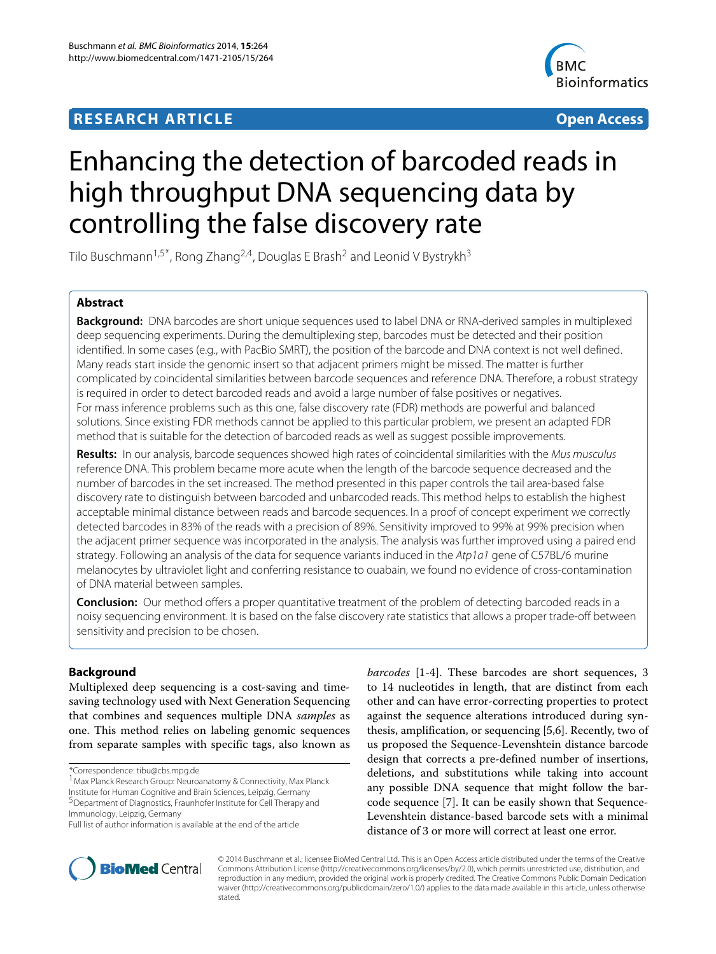## **RESEARCH ARTICLE Open Access**



# Enhancing the detection of barcoded reads in high throughput DNA sequencing data by controlling the false discovery rate

Tilo Buschmann<sup>1,5\*</sup>, Rong Zhang<sup>2,4</sup>, Douglas E Brash<sup>2</sup> and Leonid V Bystrykh<sup>3</sup>

## **Abstract**

**Background:** DNA barcodes are short unique sequences used to label DNA or RNA-derived samples in multiplexed deep sequencing experiments. During the demultiplexing step, barcodes must be detected and their position identified. In some cases (e.g., with PacBio SMRT), the position of the barcode and DNA context is not well defined. Many reads start inside the genomic insert so that adjacent primers might be missed. The matter is further complicated by coincidental similarities between barcode sequences and reference DNA. Therefore, a robust strategy is required in order to detect barcoded reads and avoid a large number of false positives or negatives. For mass inference problems such as this one, false discovery rate (FDR) methods are powerful and balanced solutions. Since existing FDR methods cannot be applied to this particular problem, we present an adapted FDR method that is suitable for the detection of barcoded reads as well as suggest possible improvements.

**Results:** In our analysis, barcode sequences showed high rates of coincidental similarities with the Mus musculus reference DNA. This problem became more acute when the length of the barcode sequence decreased and the number of barcodes in the set increased. The method presented in this paper controls the tail area-based false discovery rate to distinguish between barcoded and unbarcoded reads. This method helps to establish the highest acceptable minimal distance between reads and barcode sequences. In a proof of concept experiment we correctly detected barcodes in 83% of the reads with a precision of 89%. Sensitivity improved to 99% at 99% precision when the adjacent primer sequence was incorporated in the analysis. The analysis was further improved using a paired end strategy. Following an analysis of the data for sequence variants induced in the Atp1a1 gene of C57BL/6 murine melanocytes by ultraviolet light and conferring resistance to ouabain, we found no evidence of cross-contamination of DNA material between samples.

**Conclusion:** Our method offers a proper quantitative treatment of the problem of detecting barcoded reads in a noisy sequencing environment. It is based on the false discovery rate statistics that allows a proper trade-off between sensitivity and precision to be chosen.

## **Background**

Multiplexed deep sequencing is a cost-saving and timesaving technology used with Next Generation Sequencing that combines and sequences multiple DNA *samples* as one. This method relies on labeling genomic sequences from separate samples with specific tags, also known as

Immunology, Leipzig, Germany

*barcodes* [\[1](#page-14-0)[-4\]](#page-14-1). These barcodes are short sequences, 3 to 14 nucleotides in length, that are distinct from each other and can have error-correcting properties to protect against the sequence alterations introduced during synthesis, amplification, or sequencing [\[5,](#page-14-2)[6\]](#page-14-3). Recently, two of us proposed the Sequence-Levenshtein distance barcode design that corrects a pre-defined number of insertions, deletions, and substitutions while taking into account any possible DNA sequence that might follow the barcode sequence [\[7\]](#page-14-4). It can be easily shown that Sequence-Levenshtein distance-based barcode sets with a minimal distance of 3 or more will correct at least one error.



© 2014 Buschmann et al.; licensee BioMed Central Ltd. This is an Open Access article distributed under the terms of the Creative Commons Attribution License [\(http://creativecommons.org/licenses/by/2.0\)](http://creativecommons.org/licenses/by/2.0), which permits unrestricted use, distribution, and reproduction in any medium, provided the original work is properly credited. The Creative Commons Public Domain Dedication waiver [\(http://creativecommons.org/publicdomain/zero/1.0/\)](http://creativecommons.org/publicdomain/zero/1.0/) applies to the data made available in this article, unless otherwise stated.

<sup>\*</sup>Correspondence: [tibu@cbs.mpg.de](mailto: tibu@cbs.mpg.de)

<sup>1</sup>Max Planck Research Group: Neuroanatomy & Connectivity, Max Planck Institute for Human Cognitive and Brain Sciences, Leipzig, Germany 5Department of Diagnostics, Fraunhofer Institute for Cell Therapy and

Full list of author information is available at the end of the article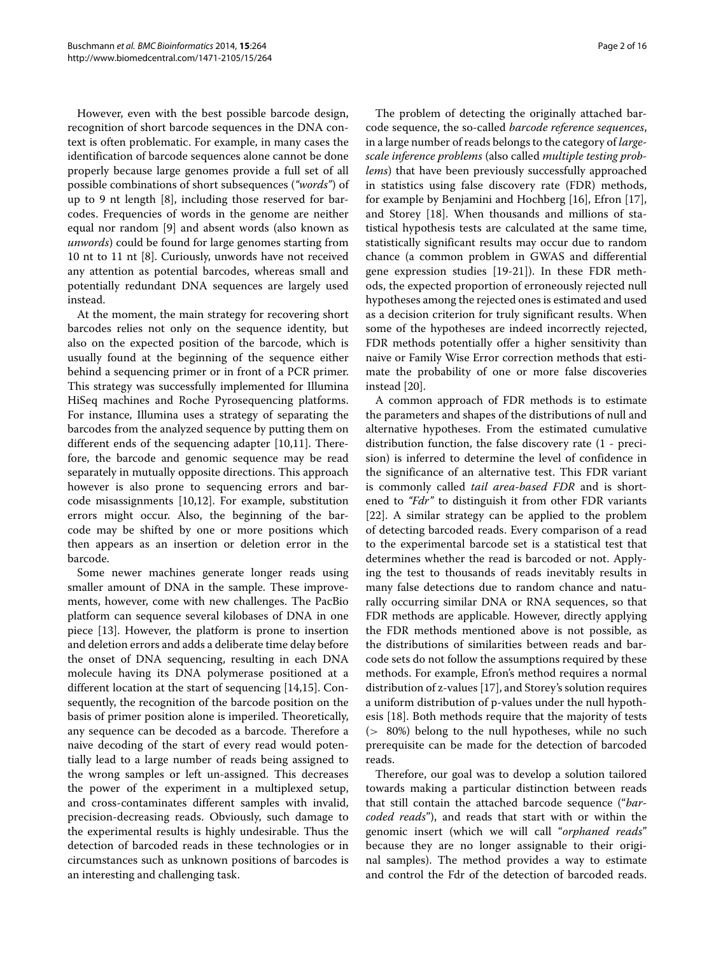However, even with the best possible barcode design, recognition of short barcode sequences in the DNA context is often problematic. For example, in many cases the identification of barcode sequences alone cannot be done properly because large genomes provide a full set of all possible combinations of short subsequences (*"words"*) of up to 9 nt length [\[8\]](#page-14-5), including those reserved for barcodes. Frequencies of words in the genome are neither equal nor random [\[9\]](#page-14-6) and absent words (also known as *unwords*) could be found for large genomes starting from 10 nt to 11 nt [\[8\]](#page-14-5). Curiously, unwords have not received any attention as potential barcodes, whereas small and potentially redundant DNA sequences are largely used instead.

At the moment, the main strategy for recovering short barcodes relies not only on the sequence identity, but also on the expected position of the barcode, which is usually found at the beginning of the sequence either behind a sequencing primer or in front of a PCR primer. This strategy was successfully implemented for Illumina HiSeq machines and Roche Pyrosequencing platforms. For instance, Illumina uses a strategy of separating the barcodes from the analyzed sequence by putting them on different ends of the sequencing adapter [\[10](#page-14-7)[,11\]](#page-14-8). Therefore, the barcode and genomic sequence may be read separately in mutually opposite directions. This approach however is also prone to sequencing errors and barcode misassignments [\[10](#page-14-7)[,12\]](#page-14-9). For example, substitution errors might occur. Also, the beginning of the barcode may be shifted by one or more positions which then appears as an insertion or deletion error in the barcode.

Some newer machines generate longer reads using smaller amount of DNA in the sample. These improvements, however, come with new challenges. The PacBio platform can sequence several kilobases of DNA in one piece [\[13\]](#page-14-10). However, the platform is prone to insertion and deletion errors and adds a deliberate time delay before the onset of DNA sequencing, resulting in each DNA molecule having its DNA polymerase positioned at a different location at the start of sequencing [\[14](#page-14-11)[,15\]](#page-14-12). Consequently, the recognition of the barcode position on the basis of primer position alone is imperiled. Theoretically, any sequence can be decoded as a barcode. Therefore a naive decoding of the start of every read would potentially lead to a large number of reads being assigned to the wrong samples or left un-assigned. This decreases the power of the experiment in a multiplexed setup, and cross-contaminates different samples with invalid, precision-decreasing reads. Obviously, such damage to the experimental results is highly undesirable. Thus the detection of barcoded reads in these technologies or in circumstances such as unknown positions of barcodes is an interesting and challenging task.

The problem of detecting the originally attached barcode sequence, the so-called *barcode reference sequences*, in a large number of reads belongs to the category of *largescale inference problems* (also called *multiple testing problems*) that have been previously successfully approached in statistics using false discovery rate (FDR) methods, for example by Benjamini and Hochberg [\[16\]](#page-14-13), Efron [\[17\]](#page-14-14), and Storey [\[18\]](#page-14-15). When thousands and millions of statistical hypothesis tests are calculated at the same time, statistically significant results may occur due to random chance (a common problem in GWAS and differential gene expression studies [\[19](#page-14-16)[-21\]](#page-14-17)). In these FDR methods, the expected proportion of erroneously rejected null hypotheses among the rejected ones is estimated and used as a decision criterion for truly significant results. When some of the hypotheses are indeed incorrectly rejected, FDR methods potentially offer a higher sensitivity than naive or Family Wise Error correction methods that estimate the probability of one or more false discoveries instead [\[20\]](#page-14-18).

A common approach of FDR methods is to estimate the parameters and shapes of the distributions of null and alternative hypotheses. From the estimated cumulative distribution function, the false discovery rate (1 - precision) is inferred to determine the level of confidence in the significance of an alternative test. This FDR variant is commonly called *tail area-based FDR* and is shortened to *"Fdr"* to distinguish it from other FDR variants [\[22\]](#page-14-19). A similar strategy can be applied to the problem of detecting barcoded reads. Every comparison of a read to the experimental barcode set is a statistical test that determines whether the read is barcoded or not. Applying the test to thousands of reads inevitably results in many false detections due to random chance and naturally occurring similar DNA or RNA sequences, so that FDR methods are applicable. However, directly applying the FDR methods mentioned above is not possible, as the distributions of similarities between reads and barcode sets do not follow the assumptions required by these methods. For example, Efron's method requires a normal distribution of z-values [\[17\]](#page-14-14), and Storey's solution requires a uniform distribution of p-values under the null hypothesis [\[18\]](#page-14-15). Both methods require that the majority of tests (*>* 80%) belong to the null hypotheses, while no such prerequisite can be made for the detection of barcoded reads.

Therefore, our goal was to develop a solution tailored towards making a particular distinction between reads that still contain the attached barcode sequence ("*barcoded reads*"), and reads that start with or within the genomic insert (which we will call "*orphaned reads*" because they are no longer assignable to their original samples). The method provides a way to estimate and control the Fdr of the detection of barcoded reads.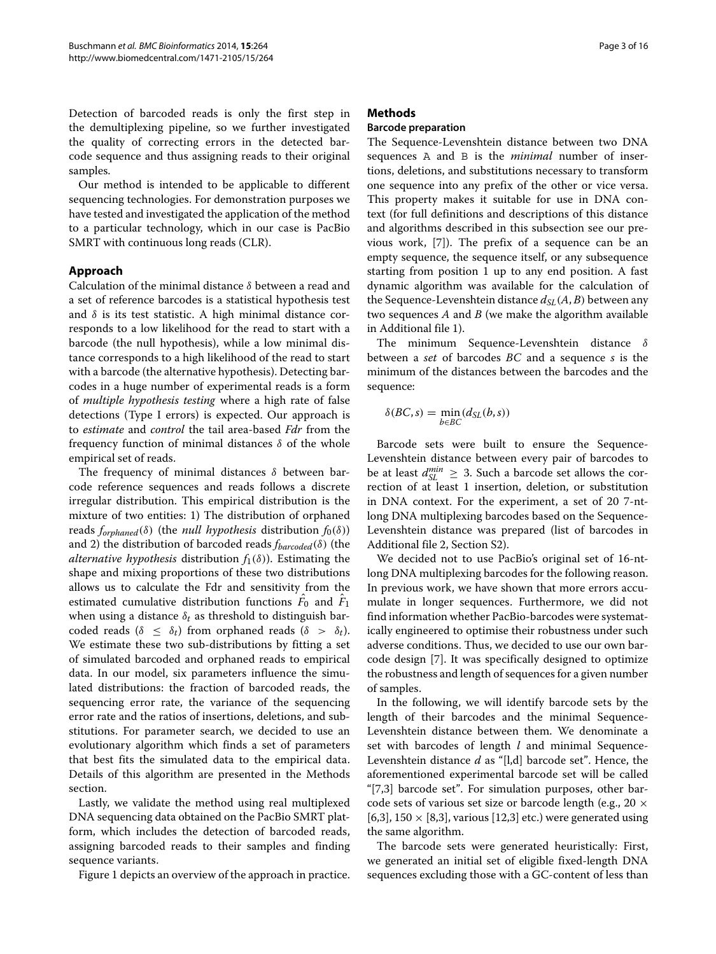Detection of barcoded reads is only the first step in the demultiplexing pipeline, so we further investigated the quality of correcting errors in the detected barcode sequence and thus assigning reads to their original samples.

Our method is intended to be applicable to different sequencing technologies. For demonstration purposes we have tested and investigated the application of the method to a particular technology, which in our case is PacBio SMRT with continuous long reads (CLR).

## **Approach**

Calculation of the minimal distance *δ* between a read and a set of reference barcodes is a statistical hypothesis test and *δ* is its test statistic. A high minimal distance corresponds to a low likelihood for the read to start with a barcode (the null hypothesis), while a low minimal distance corresponds to a high likelihood of the read to start with a barcode (the alternative hypothesis). Detecting barcodes in a huge number of experimental reads is a form of *multiple hypothesis testing* where a high rate of false detections (Type I errors) is expected. Our approach is to *estimate* and *control* the tail area-based *Fdr* from the frequency function of minimal distances *δ* of the whole empirical set of reads.

The frequency of minimal distances *δ* between barcode reference sequences and reads follows a discrete irregular distribution. This empirical distribution is the mixture of two entities: 1) The distribution of orphaned reads *forphaned(δ)* (the *null hypothesis* distribution *f*0*(δ)*) and 2) the distribution of barcoded reads *fbarcoded(δ)* (the *alternative hypothesis* distribution  $f_1(\delta)$ ). Estimating the shape and mixing proportions of these two distributions allows us to calculate the Fdr and sensitivity from the estimated cumulative distribution functions  $\hat{F}_0$  and  $\hat{F}_1$ when using a distance  $\delta_t$  as threshold to distinguish barcoded reads ( $\delta \leq \delta_t$ ) from orphaned reads ( $\delta > \delta_t$ ). We estimate these two sub-distributions by fitting a set of simulated barcoded and orphaned reads to empirical data. In our model, six parameters influence the simulated distributions: the fraction of barcoded reads, the sequencing error rate, the variance of the sequencing error rate and the ratios of insertions, deletions, and substitutions. For parameter search, we decided to use an evolutionary algorithm which finds a set of parameters that best fits the simulated data to the empirical data. Details of this algorithm are presented in the [Methods](#page-2-0) section.

Lastly, we validate the method using real multiplexed DNA sequencing data obtained on the PacBio SMRT platform, which includes the detection of barcoded reads, assigning barcoded reads to their samples and finding sequence variants.

Figure [1](#page-3-0) depicts an overview of the approach in practice.

## <span id="page-2-0"></span>**Methods**

## **Barcode preparation**

The Sequence-Levenshtein distance between two DNA sequences A and B is the *minimal* number of insertions, deletions, and substitutions necessary to transform one sequence into any prefix of the other or vice versa. This property makes it suitable for use in DNA context (for full definitions and descriptions of this distance and algorithms described in this subsection see our previous work, [\[7\]](#page-14-4)). The prefix of a sequence can be an empty sequence, the sequence itself, or any subsequence starting from position 1 up to any end position. A fast dynamic algorithm was available for the calculation of the Sequence-Levenshtein distance  $d_{SL}(A, B)$  between any two sequences *A* and *B* (we make the algorithm available in Additional file [1\)](#page-13-0).

The minimum Sequence-Levenshtein distance *δ* between a *set* of barcodes *BC* and a sequence *s* is the minimum of the distances between the barcodes and the sequence:

$$
\delta(BC, s) = \min_{b \in BC} (d_{SL}(b, s))
$$

Barcode sets were built to ensure the Sequence-Levenshtein distance between every pair of barcodes to be at least  $d_{SL}^{min} \geq 3$ . Such a barcode set allows the correction of at least 1 insertion, deletion, or substitution in DNA context. For the experiment, a set of 20 7-ntlong DNA multiplexing barcodes based on the Sequence-Levenshtein distance was prepared (list of barcodes in Additional file [2,](#page-13-1) Section S2).

We decided not to use PacBio's original set of 16-ntlong DNA multiplexing barcodes for the following reason. In previous work, we have shown that more errors accumulate in longer sequences. Furthermore, we did not find information whether PacBio-barcodes were systematically engineered to optimise their robustness under such adverse conditions. Thus, we decided to use our own barcode design [\[7\]](#page-14-4). It was specifically designed to optimize the robustness and length of sequences for a given number of samples.

In the following, we will identify barcode sets by the length of their barcodes and the minimal Sequence-Levenshtein distance between them. We denominate a set with barcodes of length *l* and minimal Sequence-Levenshtein distance *d* as "[l,d] barcode set". Hence, the aforementioned experimental barcode set will be called "[7,3] barcode set". For simulation purposes, other barcode sets of various set size or barcode length (e.g.,  $20 \times$ [6,3],  $150 \times [8,3]$ , various [12,3] etc.) were generated using the same algorithm.

The barcode sets were generated heuristically: First, we generated an initial set of eligible fixed-length DNA sequences excluding those with a GC-content of less than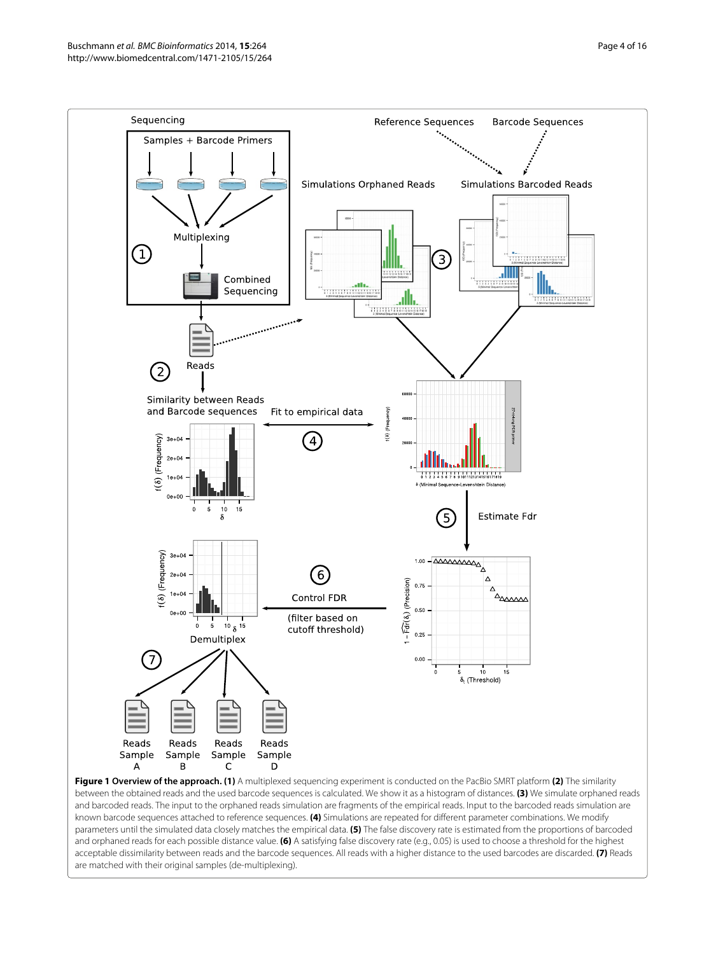

<span id="page-3-0"></span>between the obtained reads and the used barcode sequences is calculated. We show it as a histogram of distances. **(3)** We simulate orphaned reads and barcoded reads. The input to the orphaned reads simulation are fragments of the empirical reads. Input to the barcoded reads simulation are known barcode sequences attached to reference sequences. **(4)** Simulations are repeated for different parameter combinations. We modify parameters until the simulated data closely matches the empirical data. **(5)** The false discovery rate is estimated from the proportions of barcoded and orphaned reads for each possible distance value. **(6)** A satisfying false discovery rate (e.g., 0.05) is used to choose a threshold for the highest acceptable dissimilarity between reads and the barcode sequences. All reads with a higher distance to the used barcodes are discarded. **(7)** Reads are matched with their original samples (de-multiplexing).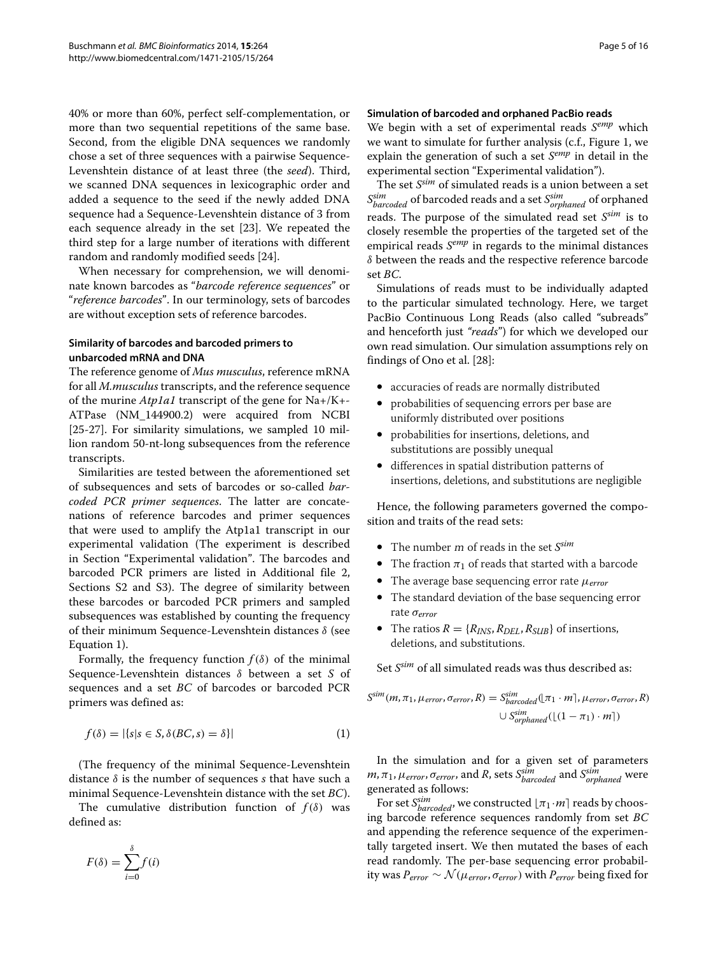40% or more than 60%, perfect self-complementation, or more than two sequential repetitions of the same base. Second, from the eligible DNA sequences we randomly chose a set of three sequences with a pairwise Sequence-Levenshtein distance of at least three (the *seed*). Third, we scanned DNA sequences in lexicographic order and added a sequence to the seed if the newly added DNA sequence had a Sequence-Levenshtein distance of 3 from each sequence already in the set [\[23\]](#page-14-20). We repeated the third step for a large number of iterations with different random and randomly modified seeds [\[24\]](#page-14-21).

When necessary for comprehension, we will denominate known barcodes as "*barcode reference sequences*" or "*reference barcodes*". In our terminology, sets of barcodes are without exception sets of reference barcodes.

## **Similarity of barcodes and barcoded primers to unbarcoded mRNA and DNA**

The reference genome of *Mus musculus*, reference mRNA for all *M.musculus* transcripts, and the reference sequence of the murine *Atp1a1* transcript of the gene for Na+/K+- ATPase (NM\_144900.2) were acquired from NCBI [\[25](#page-14-22)[-27\]](#page-14-23). For similarity simulations, we sampled 10 million random 50-nt-long subsequences from the reference transcripts.

Similarities are tested between the aforementioned set of subsequences and sets of barcodes or so-called *barcoded PCR primer sequences*. The latter are concatenations of reference barcodes and primer sequences that were used to amplify the Atp1a1 transcript in our experimental validation (The experiment is described in Section ["Experimental validation"](#page-6-0). The barcodes and barcoded PCR primers are listed in Additional file [2,](#page-13-1) Sections S2 and S3). The degree of similarity between these barcodes or barcoded PCR primers and sampled subsequences was established by counting the frequency of their minimum Sequence-Levenshtein distances *δ* (see Equation [1\)](#page-4-0).

Formally, the frequency function *f(δ)* of the minimal Sequence-Levenshtein distances *δ* between a set *S* of sequences and a set *BC* of barcodes or barcoded PCR primers was defined as:

<span id="page-4-0"></span>
$$
f(\delta) = |\{s|s \in S, \delta(BC, s) = \delta\}| \tag{1}
$$

(The frequency of the minimal Sequence-Levenshtein distance *δ* is the number of sequences *s* that have such a minimal Sequence-Levenshtein distance with the set *BC*).

The cumulative distribution function of *f (δ)* was defined as:

## $F(\delta) = \sum_{\delta}^{\delta}$ *i*=0 *f (i)*

## <span id="page-4-1"></span>**Simulation of barcoded and orphaned PacBio reads**

We begin with a set of experimental reads *Semp* which we want to simulate for further analysis (c.f., Figure [1,](#page-3-0) we explain the generation of such a set *Semp* in detail in the experimental section ["Experimental validation"](#page-6-0)).

The set *Ssim* of simulated reads is a union between a set  $\mathcal{S}^{sim}_{barcoded}$  of barcoded reads and a set  $\mathcal{S}^{sim}_{orphaned}$  of orphaned reads. The purpose of the simulated read set *Ssim* is to closely resemble the properties of the targeted set of the empirical reads *Semp* in regards to the minimal distances *δ* between the reads and the respective reference barcode set *BC*.

Simulations of reads must to be individually adapted to the particular simulated technology. Here, we target PacBio Continuous Long Reads (also called "subreads" and henceforth just *"reads*") for which we developed our own read simulation. Our simulation assumptions rely on findings of Ono et al. [\[28\]](#page-14-24):

- accuracies of reads are normally distributed
- probabilities of sequencing errors per base are uniformly distributed over positions
- probabilities for insertions, deletions, and substitutions are possibly unequal
- differences in spatial distribution patterns of insertions, deletions, and substitutions are negligible

Hence, the following parameters governed the composition and traits of the read sets:

- The number <sup>m</sup> of reads in the set *Ssim*
- The fraction  $\pi_1$  of reads that started with a barcode
- The average base sequencing error rate *μerror*
- The standard deviation of the base sequencing error rate *σerror*
- The ratios  $R = \{R_{INS}, R_{DEL}, R_{SUB}\}$  of insertions, deletions, and substitutions.

Set *Ssim* of all simulated reads was thus described as:

$$
S^{sim}(m, \pi_1, \mu_{error}, \sigma_{error}, R) = S^{sim}_{baroded}(\lfloor \pi_1 \cdot m \rfloor, \mu_{error}, \sigma_{error}, R)
$$

$$
\cup S^{sim}_{orphaned}(\lfloor (1 - \pi_1) \cdot m \rfloor)
$$

In the simulation and for a given set of parameters  $m, \pi_1, \mu_{error}, \sigma_{error}, \text{and } R, \text{sets } S_{bar coded}^{sim}$  and  $S_{orphaned}^{sim}$  were generated as follows:

For set  $S_{barcoded}^{sim}$ , we constructed  $\lfloor \pi_1 \cdot m \rceil$  reads by choosing barcode reference sequences randomly from set *BC* and appending the reference sequence of the experimentally targeted insert. We then mutated the bases of each read randomly. The per-base sequencing error probability was  $P_{error} \sim \mathcal{N}(\mu_{error}, \sigma_{error})$  with  $P_{error}$  being fixed for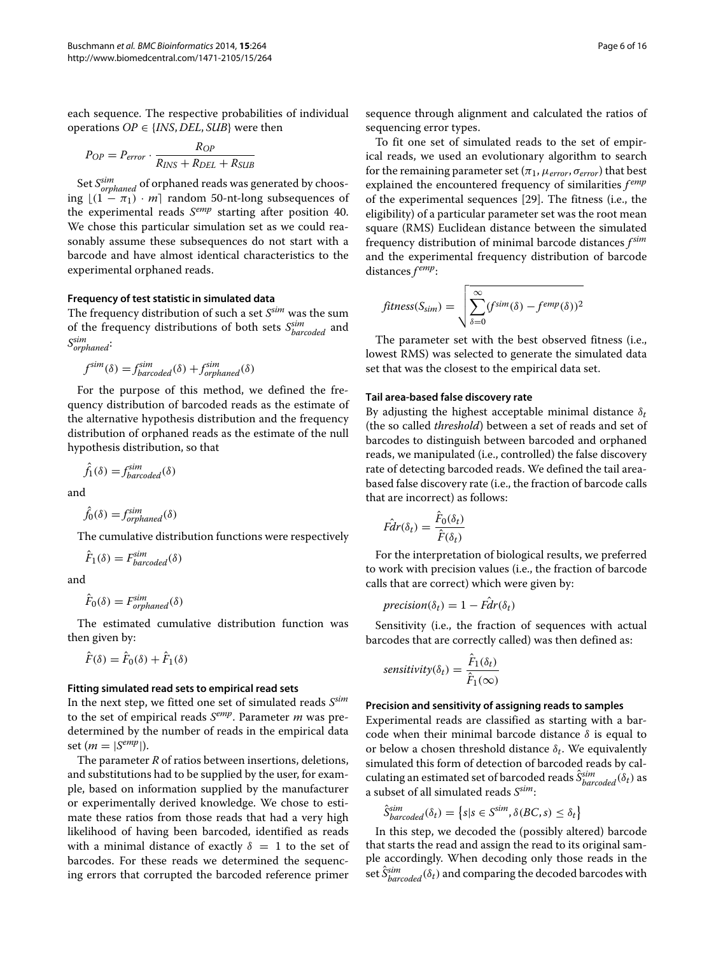each sequence. The respective probabilities of individual operations  $OP \in \{INS, DEL, SUB\}$  were then

$$
P_{OP} = P_{error} \cdot \frac{R_{OP}}{R_{INS} + R_{DEL} + R_{SUB}}
$$

Set  $S_{orphaned}^{sim}$  of orphaned reads was generated by choosing  $\lfloor (1 - \pi_1) \cdot m \rfloor$  random 50-nt-long subsequences of the experimental reads *Semp* starting after position 40. We chose this particular simulation set as we could reasonably assume these subsequences do not start with a barcode and have almost identical characteristics to the experimental orphaned reads.

#### **Frequency of test statistic in simulated data**

The frequency distribution of such a set *Ssim* was the sum of the frequency distributions of both sets *Ssim barcoded* and *Ssim orphaned*:

$$
f^{sim}(\delta) = f^{sim}_{bar coded}(\delta) + f^{sim}_{orphaned}(\delta)
$$

For the purpose of this method, we defined the frequency distribution of barcoded reads as the estimate of the alternative hypothesis distribution and the frequency distribution of orphaned reads as the estimate of the null hypothesis distribution, so that

$$
\hat{f}_1(\delta) = f_{barcoded}^{sim}(\delta)
$$

and

$$
\hat{f}_0(\delta) = f_{orphaned}^{sim}(\delta)
$$

The cumulative distribution functions were respectively

$$
\hat{F}_1(\delta) = F^{sim}_{bar coded}(\delta)
$$

and

$$
\hat{F}_0(\delta) = F_{orphaned}^{sim}(\delta)
$$

The estimated cumulative distribution function was then given by:

$$
\hat{F}(\delta) = \hat{F}_0(\delta) + \hat{F}_1(\delta)
$$

#### **Fitting simulated read sets to empirical read sets**

In the next step, we fitted one set of simulated reads *Ssim* to the set of empirical reads *Semp*. Parameter *m* was predetermined by the number of reads in the empirical data set  $(m = |S^{emp}|)$ .

The parameter *R* of ratios between insertions, deletions, and substitutions had to be supplied by the user, for example, based on information supplied by the manufacturer or experimentally derived knowledge. We chose to estimate these ratios from those reads that had a very high likelihood of having been barcoded, identified as reads with a minimal distance of exactly  $\delta = 1$  to the set of barcodes. For these reads we determined the sequencing errors that corrupted the barcoded reference primer sequence through alignment and calculated the ratios of sequencing error types.

To fit one set of simulated reads to the set of empirical reads, we used an evolutionary algorithm to search for the remaining parameter set ( $\pi_1$ ,  $\mu_{error}$ ,  $\sigma_{error}$ ) that best explained the encountered frequency of similarities  $f^{emp}$ of the experimental sequences [\[29\]](#page-14-25). The fitness (i.e., the eligibility) of a particular parameter set was the root mean square (RMS) Euclidean distance between the simulated frequency distribution of minimal barcode distances *f sim* and the experimental frequency distribution of barcode distances  $f^{emp}$ :

$$
fitness(S_{sim}) = \sqrt{\sum_{\delta=0}^{\infty} (f^{sim}(\delta) - f^{emp}(\delta))^2}
$$

The parameter set with the best observed fitness (i.e., lowest RMS) was selected to generate the simulated data set that was the closest to the empirical data set.

## <span id="page-5-0"></span>**Tail area-based false discovery rate**

By adjusting the highest acceptable minimal distance *δ<sup>t</sup>* (the so called *threshold*) between a set of reads and set of barcodes to distinguish between barcoded and orphaned reads, we manipulated (i.e., controlled) the false discovery rate of detecting barcoded reads. We defined the tail areabased false discovery rate (i.e., the fraction of barcode calls that are incorrect) as follows:

$$
\hat{F}dr(\delta_t) = \frac{\hat{F}_0(\delta_t)}{\hat{F}(\delta_t)}
$$

For the interpretation of biological results, we preferred to work with precision values (i.e., the fraction of barcode calls that are correct) which were given by:

$$
precision(\delta_t) = 1 - \hat{f}dr(\delta_t)
$$

Sensitivity (i.e., the fraction of sequences with actual barcodes that are correctly called) was then defined as:

$$
sensitivity(\delta_t) = \frac{\hat{F}_1(\delta_t)}{\hat{F}_1(\infty)}
$$

#### **Precision and sensitivity of assigning reads to samples**

Experimental reads are classified as starting with a barcode when their minimal barcode distance *δ* is equal to or below a chosen threshold distance *δt*. We equivalently simulated this form of detection of barcoded reads by calculating an estimated set of barcoded reads  $\hat{S}^{sim}_{baroded}(\delta_t)$  as a subset of all simulated reads *Ssim*:

$$
\hat{S}^{sim}_{bar coded}(\delta_t) = \{s | s \in S^{sim}, \delta(BC, s) \leq \delta_t\}
$$

In this step, we decoded the (possibly altered) barcode that starts the read and assign the read to its original sample accordingly. When decoding only those reads in the  $\hat{S}^{sim}_{\textit{barcoded}}(\delta_t)$  and comparing the decoded barcodes with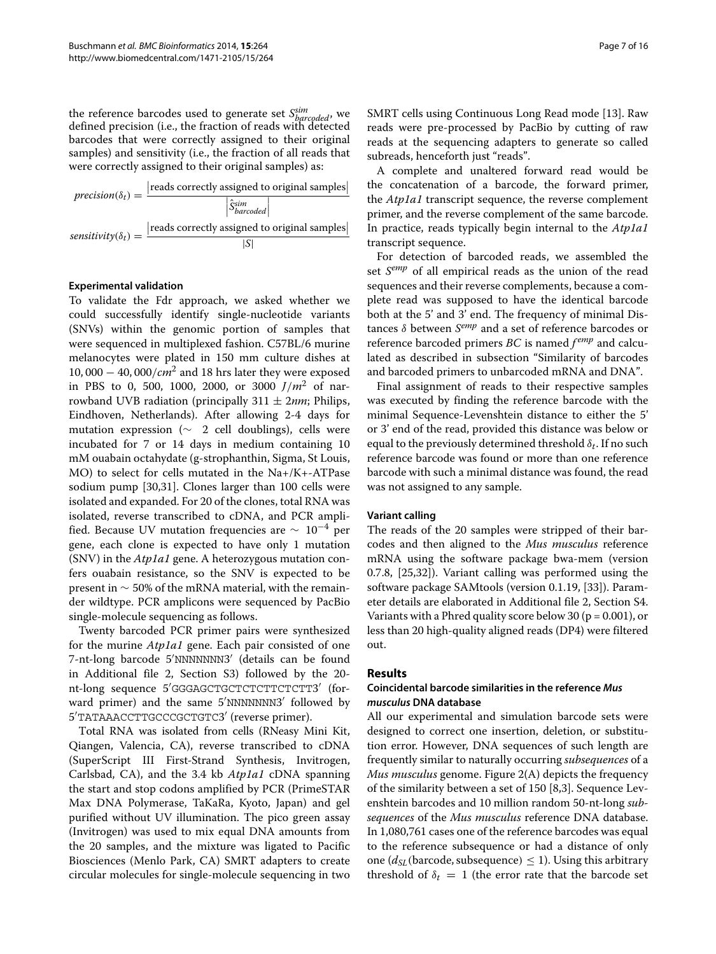the reference barcodes used to generate set *Ssim barcoded*, we defined precision (i.e., the fraction of reads with detected barcodes that were correctly assigned to their original samples) and sensitivity (i.e., the fraction of all reads that were correctly assigned to their original samples) as:

$$
precision(\delta_t) = \frac{|\text{reads correctly assigned to original samples}|}{|\hat{S}_{barcoded}^{sim}|}
$$
  

$$
sensitivity(\delta_t) = \frac{|\text{reads correctly assigned to original samples}|}{|S|}
$$

## <span id="page-6-0"></span>**Experimental validation**

To validate the Fdr approach, we asked whether we could successfully identify single-nucleotide variants (SNVs) within the genomic portion of samples that were sequenced in multiplexed fashion. C57BL/6 murine melanocytes were plated in 150 mm culture dishes at 10, 000 − 40, 000*/cm*<sup>2</sup> and 18 hrs later they were exposed in PBS to 0, 500, 1000, 2000, or 3000 *J/m*<sup>2</sup> of narrowband UVB radiation (principally  $311 \pm 2nm$ ; Philips, Eindhoven, Netherlands). After allowing 2-4 days for mutation expression ( $\sim$  2 cell doublings), cells were incubated for 7 or 14 days in medium containing 10 mM ouabain octahydate (g-strophanthin, Sigma, St Louis, MO) to select for cells mutated in the Na+/K+-ATPase sodium pump [\[30](#page-14-26)[,31\]](#page-14-27). Clones larger than 100 cells were isolated and expanded. For 20 of the clones, total RNA was isolated, reverse transcribed to cDNA, and PCR amplified. Because UV mutation frequencies are  $\sim 10^{-4}$  per gene, each clone is expected to have only 1 mutation (SNV) in the *Atp1a1* gene. A heterozygous mutation confers ouabain resistance, so the SNV is expected to be present in  $\sim$  50% of the mRNA material, with the remainder wildtype. PCR amplicons were sequenced by PacBio single-molecule sequencing as follows.

Twenty barcoded PCR primer pairs were synthesized for the murine *Atp1a1* gene. Each pair consisted of one 7-nt-long barcode 5'NNNNNNNN3' (details can be found in Additional file [2,](#page-13-1) Section S3) followed by the 20 nt-long sequence 5 GGGAGCTGCTCTCTTCTCTT3 (forward primer) and the same 5'NNNNNNNN3' followed by 5 TATAAACCTTGCCCGCTGTC3 (reverse primer).

Total RNA was isolated from cells (RNeasy Mini Kit, Qiangen, Valencia, CA), reverse transcribed to cDNA (SuperScript III First-Strand Synthesis, Invitrogen, Carlsbad, CA), and the 3.4 kb *Atp1a1* cDNA spanning the start and stop codons amplified by PCR (PrimeSTAR Max DNA Polymerase, TaKaRa, Kyoto, Japan) and gel purified without UV illumination. The pico green assay (Invitrogen) was used to mix equal DNA amounts from the 20 samples, and the mixture was ligated to Pacific Biosciences (Menlo Park, CA) SMRT adapters to create circular molecules for single-molecule sequencing in two SMRT cells using Continuous Long Read mode [\[13\]](#page-14-10). Raw reads were pre-processed by PacBio by cutting of raw reads at the sequencing adapters to generate so called subreads, henceforth just "reads".

A complete and unaltered forward read would be the concatenation of a barcode, the forward primer, the *Atp1a1* transcript sequence, the reverse complement primer, and the reverse complement of the same barcode. In practice, reads typically begin internal to the *Atp1a1* transcript sequence.

For detection of barcoded reads, we assembled the set *Semp* of all empirical reads as the union of the read sequences and their reverse complements, because a complete read was supposed to have the identical barcode both at the 5' and 3' end. The frequency of minimal Distances *δ* between *Semp* and a set of reference barcodes or reference barcoded primers *BC* is named  $f^{emp}$  and calculated as described in subsection "Similarity of barcodes and barcoded primers to unbarcoded mRNA and DNA".

Final assignment of reads to their respective samples was executed by finding the reference barcode with the minimal Sequence-Levenshtein distance to either the 5' or 3' end of the read, provided this distance was below or equal to the previously determined threshold *δt*. If no such reference barcode was found or more than one reference barcode with such a minimal distance was found, the read was not assigned to any sample.

#### **Variant calling**

The reads of the 20 samples were stripped of their barcodes and then aligned to the *Mus musculus* reference mRNA using the software package bwa-mem (version 0.7.8, [\[25,](#page-14-22)[32\]](#page-14-28)). Variant calling was performed using the software package SAMtools (version 0.1.19, [\[33\]](#page-14-29)). Parameter details are elaborated in Additional file [2,](#page-13-1) Section S4. Variants with a Phred quality score below 30 ( $p = 0.001$ ), or less than 20 high-quality aligned reads (DP4) were filtered out.

#### **Results**

## **Coincidental barcode similarities in the reference** *Mus musculus* **DNA database**

All our experimental and simulation barcode sets were designed to correct one insertion, deletion, or substitution error. However, DNA sequences of such length are frequently similar to naturally occurring *subsequences* of a *Mus musculus* genome. Figure [2\(](#page-7-0)A) depicts the frequency of the similarity between a set of 150 [8,3]. Sequence Levenshtein barcodes and 10 million random 50-nt-long *subsequences* of the *Mus musculus* reference DNA database. In 1,080,761 cases one of the reference barcodes was equal to the reference subsequence or had a distance of only one  $(d_{SL}$ (barcode, subsequence)  $\leq$  1). Using this arbitrary threshold of  $\delta_t = 1$  (the error rate that the barcode set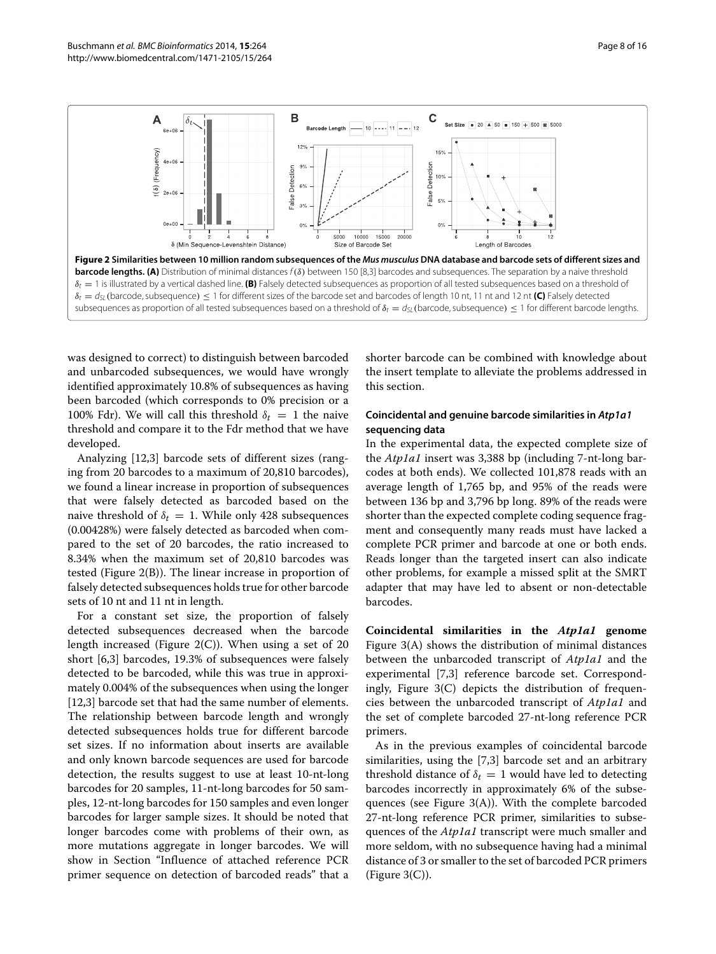

<span id="page-7-0"></span>was designed to correct) to distinguish between barcoded and unbarcoded subsequences, we would have wrongly identified approximately 10.8% of subsequences as having been barcoded (which corresponds to 0% precision or a 100% Fdr). We will call this threshold  $\delta_t = 1$  the naive threshold and compare it to the Fdr method that we have developed.

Analyzing [12,3] barcode sets of different sizes (ranging from 20 barcodes to a maximum of 20,810 barcodes), we found a linear increase in proportion of subsequences that were falsely detected as barcoded based on the naive threshold of  $\delta_t = 1$ . While only 428 subsequences (0.00428%) were falsely detected as barcoded when compared to the set of 20 barcodes, the ratio increased to 8.34% when the maximum set of 20,810 barcodes was tested (Figure [2\(](#page-7-0)B)). The linear increase in proportion of falsely detected subsequences holds true for other barcode sets of 10 nt and 11 nt in length.

For a constant set size, the proportion of falsely detected subsequences decreased when the barcode length increased (Figure  $2(C)$ ). When using a set of 20 short [6,3] barcodes, 19.3% of subsequences were falsely detected to be barcoded, while this was true in approximately 0.004% of the subsequences when using the longer [12,3] barcode set that had the same number of elements. The relationship between barcode length and wrongly detected subsequences holds true for different barcode set sizes. If no information about inserts are available and only known barcode sequences are used for barcode detection, the results suggest to use at least 10-nt-long barcodes for 20 samples, 11-nt-long barcodes for 50 samples, 12-nt-long barcodes for 150 samples and even longer barcodes for larger sample sizes. It should be noted that longer barcodes come with problems of their own, as more mutations aggregate in longer barcodes. We will show in Section ["Influence of attached reference PCR](#page-10-0) [primer sequence on detection of barcoded reads"](#page-10-0) that a

shorter barcode can be combined with knowledge about the insert template to alleviate the problems addressed in this section.

## **Coincidental and genuine barcode similarities in** *Atp1a1* **sequencing data**

In the experimental data, the expected complete size of the *Atp1a1* insert was 3,388 bp (including 7-nt-long barcodes at both ends). We collected 101,878 reads with an average length of 1,765 bp, and 95% of the reads were between 136 bp and 3,796 bp long. 89% of the reads were shorter than the expected complete coding sequence fragment and consequently many reads must have lacked a complete PCR primer and barcode at one or both ends. Reads longer than the targeted insert can also indicate other problems, for example a missed split at the SMRT adapter that may have led to absent or non-detectable barcodes.

**Coincidental similarities in the** *Atp1a1* **genome** Figure [3\(](#page-8-0)A) shows the distribution of minimal distances between the unbarcoded transcript of *Atp1a1* and the experimental [7,3] reference barcode set. Correspondingly, Figure [3\(](#page-8-0)C) depicts the distribution of frequencies between the unbarcoded transcript of *Atp1a1* and the set of complete barcoded 27-nt-long reference PCR primers.

As in the previous examples of coincidental barcode similarities, using the [7,3] barcode set and an arbitrary threshold distance of  $\delta_t = 1$  would have led to detecting barcodes incorrectly in approximately 6% of the subsequences (see Figure [3\(](#page-8-0)A)). With the complete barcoded 27-nt-long reference PCR primer, similarities to subsequences of the *Atp1a1* transcript were much smaller and more seldom, with no subsequence having had a minimal distance of 3 or smaller to the set of barcoded PCR primers (Figure [3\(](#page-8-0)C)).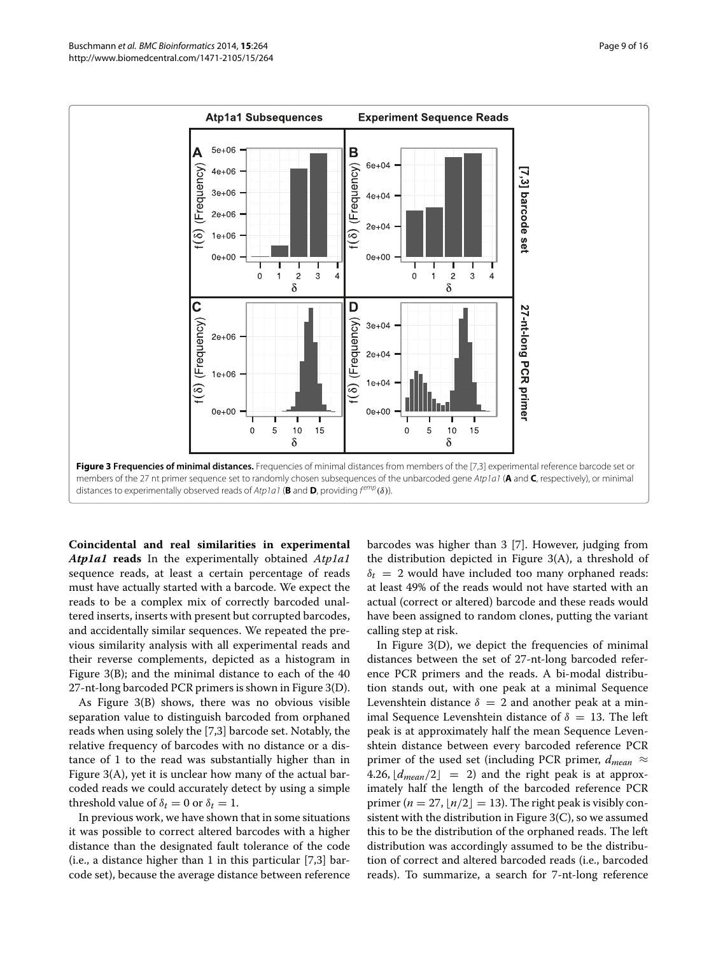

<span id="page-8-0"></span>**Coincidental and real similarities in experimental** *Atp1a1* **reads** In the experimentally obtained *Atp1a1* sequence reads, at least a certain percentage of reads must have actually started with a barcode. We expect the reads to be a complex mix of correctly barcoded unaltered inserts, inserts with present but corrupted barcodes, and accidentally similar sequences. We repeated the previous similarity analysis with all experimental reads and their reverse complements, depicted as a histogram in Figure [3\(](#page-8-0)B); and the minimal distance to each of the 40 27-nt-long barcoded PCR primers is shown in Figure [3\(](#page-8-0)D).

As Figure [3\(](#page-8-0)B) shows, there was no obvious visible separation value to distinguish barcoded from orphaned reads when using solely the [7,3] barcode set. Notably, the relative frequency of barcodes with no distance or a distance of 1 to the read was substantially higher than in Figure [3\(](#page-8-0)A), yet it is unclear how many of the actual barcoded reads we could accurately detect by using a simple threshold value of  $\delta_t = 0$  or  $\delta_t = 1$ .

In previous work, we have shown that in some situations it was possible to correct altered barcodes with a higher distance than the designated fault tolerance of the code (i.e., a distance higher than 1 in this particular [7,3] barcode set), because the average distance between reference barcodes was higher than 3 [\[7\]](#page-14-4). However, judging from the distribution depicted in Figure [3\(](#page-8-0)A), a threshold of  $\delta_t$  = 2 would have included too many orphaned reads: at least 49% of the reads would not have started with an actual (correct or altered) barcode and these reads would have been assigned to random clones, putting the variant calling step at risk.

In Figure [3\(](#page-8-0)D), we depict the frequencies of minimal distances between the set of 27-nt-long barcoded reference PCR primers and the reads. A bi-modal distribution stands out, with one peak at a minimal Sequence Levenshtein distance  $\delta = 2$  and another peak at a minimal Sequence Levenshtein distance of  $\delta = 13$ . The left peak is at approximately half the mean Sequence Levenshtein distance between every barcoded reference PCR primer of the used set (including PCR primer,  $d_{mean} \approx$ 4.26,  $\lfloor d_{mean}/2 \rfloor$  = 2) and the right peak is at approximately half the length of the barcoded reference PCR primer ( $n = 27$ ,  $\lfloor n/2 \rfloor = 13$ ). The right peak is visibly consistent with the distribution in Figure [3\(](#page-8-0)C), so we assumed this to be the distribution of the orphaned reads. The left distribution was accordingly assumed to be the distribution of correct and altered barcoded reads (i.e., barcoded reads). To summarize, a search for 7-nt-long reference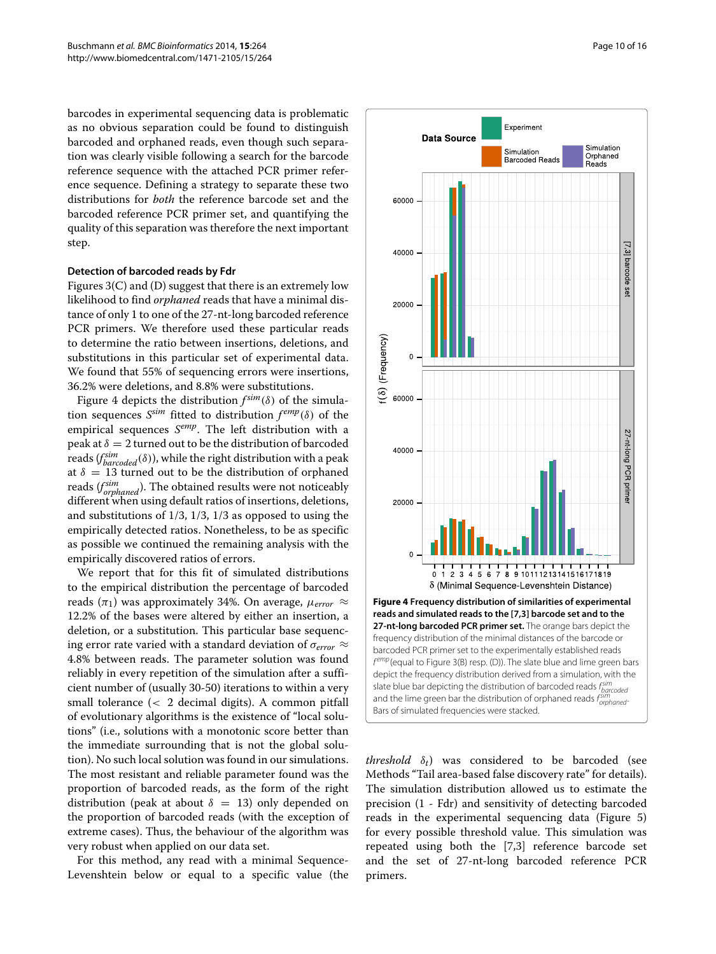barcodes in experimental sequencing data is problematic as no obvious separation could be found to distinguish barcoded and orphaned reads, even though such separation was clearly visible following a search for the barcode reference sequence with the attached PCR primer reference sequence. Defining a strategy to separate these two distributions for *both* the reference barcode set and the barcoded reference PCR primer set, and quantifying the quality of this separation was therefore the next important step.

#### **Detection of barcoded reads by Fdr**

Figures [3\(](#page-8-0)C) and (D) suggest that there is an extremely low likelihood to find *orphaned* reads that have a minimal distance of only 1 to one of the 27-nt-long barcoded reference PCR primers. We therefore used these particular reads to determine the ratio between insertions, deletions, and substitutions in this particular set of experimental data. We found that 55% of sequencing errors were insertions, 36.2% were deletions, and 8.8% were substitutions.

Figure [4](#page-9-0) depicts the distribution  $f^{sim}(\delta)$  of the simulation sequences  $S^{sim}$  fitted to distribution  $f^{emp}(\delta)$  of the empirical sequences *Semp*. The left distribution with a peak at  $\delta = 2$  turned out to be the distribution of barcoded reads  $(f_{\textit{barcoded}}^{\textit{sim}}(\delta))$ , while the right distribution with a peak at  $\delta = 13$  turned out to be the distribution of orphaned reads ( $f_{orphaned}^{sim}$ ). The obtained results were not noticeably different when using default ratios of insertions, deletions, and substitutions of 1/3, 1/3, 1/3 as opposed to using the empirically detected ratios. Nonetheless, to be as specific as possible we continued the remaining analysis with the empirically discovered ratios of errors.

We report that for this fit of simulated distributions to the empirical distribution the percentage of barcoded reads ( $\pi_1$ ) was approximately 34%. On average,  $\mu_{error} \approx$ 12.2% of the bases were altered by either an insertion, a deletion, or a substitution. This particular base sequencing error rate varied with a standard deviation of *σerror* ≈ 4.8% between reads. The parameter solution was found reliably in every repetition of the simulation after a sufficient number of (usually 30-50) iterations to within a very small tolerance (*<* 2 decimal digits). A common pitfall of evolutionary algorithms is the existence of "local solutions" (i.e., solutions with a monotonic score better than the immediate surrounding that is not the global solution). No such local solution was found in our simulations. The most resistant and reliable parameter found was the proportion of barcoded reads, as the form of the right distribution (peak at about  $\delta = 13$ ) only depended on the proportion of barcoded reads (with the exception of extreme cases). Thus, the behaviour of the algorithm was very robust when applied on our data set.

For this method, any read with a minimal Sequence-Levenshtein below or equal to a specific value (the



<span id="page-9-0"></span>*threshold*  $\delta_t$ ) was considered to be barcoded (see [Methods](#page-2-0) ["Tail area-based false discovery rate"](#page-5-0) for details). The simulation distribution allowed us to estimate the precision (1 - Fdr) and sensitivity of detecting barcoded reads in the experimental sequencing data (Figure [5\)](#page-10-1) for every possible threshold value. This simulation was repeated using both the [7,3] reference barcode set and the set of 27-nt-long barcoded reference PCR primers.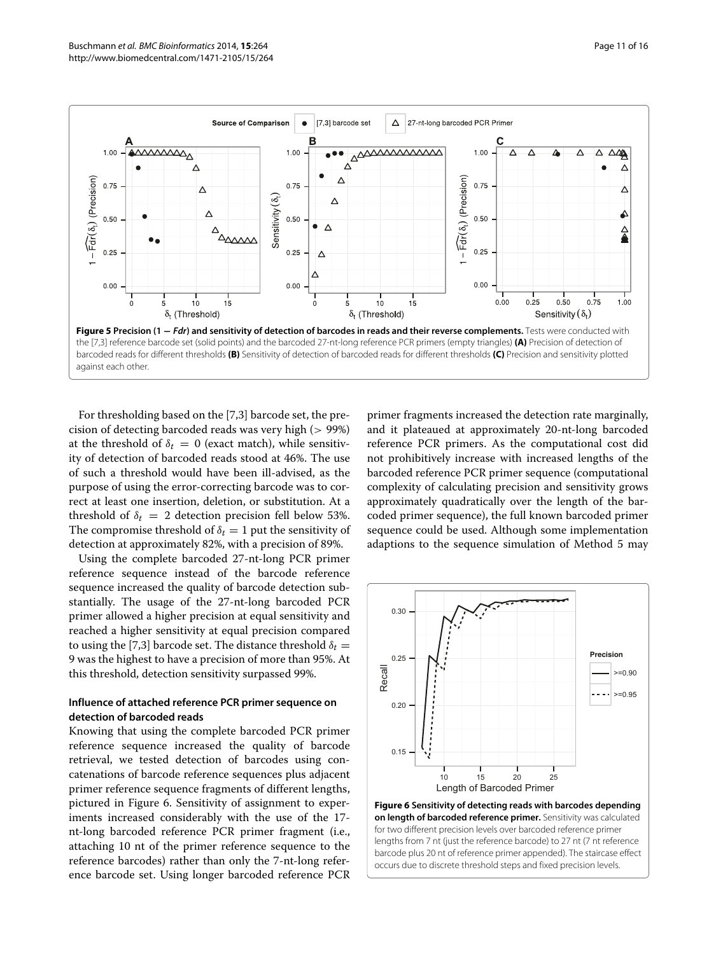

<span id="page-10-1"></span>For thresholding based on the [7,3] barcode set, the precision of detecting barcoded reads was very high (*>* 99%) at the threshold of  $\delta_t = 0$  (exact match), while sensitivity of detection of barcoded reads stood at 46%. The use of such a threshold would have been ill-advised, as the purpose of using the error-correcting barcode was to correct at least one insertion, deletion, or substitution. At a threshold of  $\delta_t = 2$  detection precision fell below 53%. The compromise threshold of  $\delta_t = 1$  put the sensitivity of detection at approximately 82%, with a precision of 89%.

Using the complete barcoded 27-nt-long PCR primer reference sequence instead of the barcode reference sequence increased the quality of barcode detection substantially. The usage of the 27-nt-long barcoded PCR primer allowed a higher precision at equal sensitivity and reached a higher sensitivity at equal precision compared to using the [7,3] barcode set. The distance threshold  $\delta_t =$ 9 was the highest to have a precision of more than 95%. At this threshold, detection sensitivity surpassed 99%.

## **Influence of attached reference PCR primer sequence on detection of barcoded reads**

<span id="page-10-0"></span>Knowing that using the complete barcoded PCR primer reference sequence increased the quality of barcode retrieval, we tested detection of barcodes using concatenations of barcode reference sequences plus adjacent primer reference sequence fragments of different lengths, pictured in Figure [6.](#page-10-2) Sensitivity of assignment to experiments increased considerably with the use of the 17 nt-long barcoded reference PCR primer fragment (i.e., attaching 10 nt of the primer reference sequence to the reference barcodes) rather than only the 7-nt-long reference barcode set. Using longer barcoded reference PCR

primer fragments increased the detection rate marginally, and it plateaued at approximately 20-nt-long barcoded reference PCR primers. As the computational cost did not prohibitively increase with increased lengths of the barcoded reference PCR primer sequence (computational complexity of calculating precision and sensitivity grows approximately quadratically over the length of the barcoded primer sequence), the full known barcoded primer sequence could be used. Although some implementation adaptions to the sequence simulation of Method [5](#page-4-1) may

<span id="page-10-2"></span>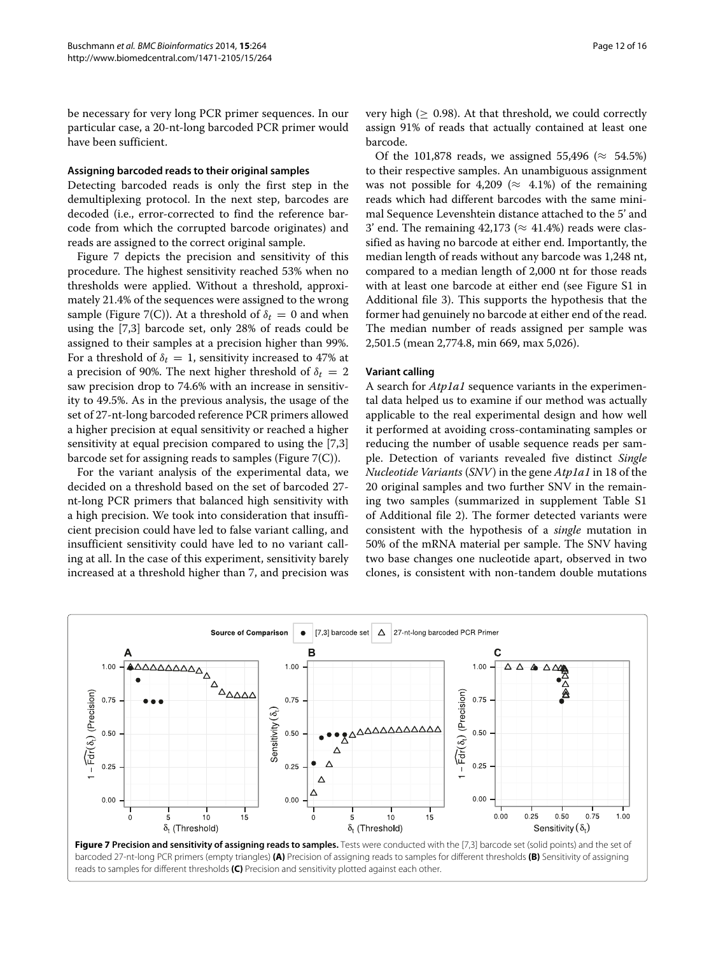be necessary for very long PCR primer sequences. In our particular case, a 20-nt-long barcoded PCR primer would have been sufficient.

#### **Assigning barcoded reads to their original samples**

Detecting barcoded reads is only the first step in the demultiplexing protocol. In the next step, barcodes are decoded (i.e., error-corrected to find the reference barcode from which the corrupted barcode originates) and reads are assigned to the correct original sample.

Figure [7](#page-11-0) depicts the precision and sensitivity of this procedure. The highest sensitivity reached 53% when no thresholds were applied. Without a threshold, approximately 21.4% of the sequences were assigned to the wrong sample (Figure [7\(](#page-11-0)C)). At a threshold of  $\delta_t = 0$  and when using the [7,3] barcode set, only 28% of reads could be assigned to their samples at a precision higher than 99%. For a threshold of  $\delta_t = 1$ , sensitivity increased to 47% at a precision of 90%. The next higher threshold of  $\delta_t = 2$ saw precision drop to 74.6% with an increase in sensitivity to 49.5%. As in the previous analysis, the usage of the set of 27-nt-long barcoded reference PCR primers allowed a higher precision at equal sensitivity or reached a higher sensitivity at equal precision compared to using the [7,3] barcode set for assigning reads to samples (Figure [7\(](#page-11-0)C)).

For the variant analysis of the experimental data, we decided on a threshold based on the set of barcoded 27 nt-long PCR primers that balanced high sensitivity with a high precision. We took into consideration that insufficient precision could have led to false variant calling, and insufficient sensitivity could have led to no variant calling at all. In the case of this experiment, sensitivity barely increased at a threshold higher than 7, and precision was

very high ( $\geq$  0.98). At that threshold, we could correctly assign 91% of reads that actually contained at least one barcode.

Of the 101,878 reads, we assigned 55,496 ( $\approx$  54.5%) to their respective samples. An unambiguous assignment was not possible for 4,209 ( $\approx$  4.1%) of the remaining reads which had different barcodes with the same minimal Sequence Levenshtein distance attached to the 5' and 3' end. The remaining 42,173 ( $\approx$  41.4%) reads were classified as having no barcode at either end. Importantly, the median length of reads without any barcode was 1,248 nt, compared to a median length of 2,000 nt for those reads with at least one barcode at either end (see Figure S1 in Additional file [3\)](#page-13-2). This supports the hypothesis that the former had genuinely no barcode at either end of the read. The median number of reads assigned per sample was 2,501.5 (mean 2,774.8, min 669, max 5,026).

#### **Variant calling**

A search for *Atp1a1* sequence variants in the experimental data helped us to examine if our method was actually applicable to the real experimental design and how well it performed at avoiding cross-contaminating samples or reducing the number of usable sequence reads per sample. Detection of variants revealed five distinct *Single Nucleotide Variants* (*SNV*) in the gene *Atp1a1* in 18 of the 20 original samples and two further SNV in the remaining two samples (summarized in supplement Table S1 of Additional file [2\)](#page-13-1). The former detected variants were consistent with the hypothesis of a *single* mutation in 50% of the mRNA material per sample. The SNV having two base changes one nucleotide apart, observed in two clones, is consistent with non-tandem double mutations

<span id="page-11-0"></span>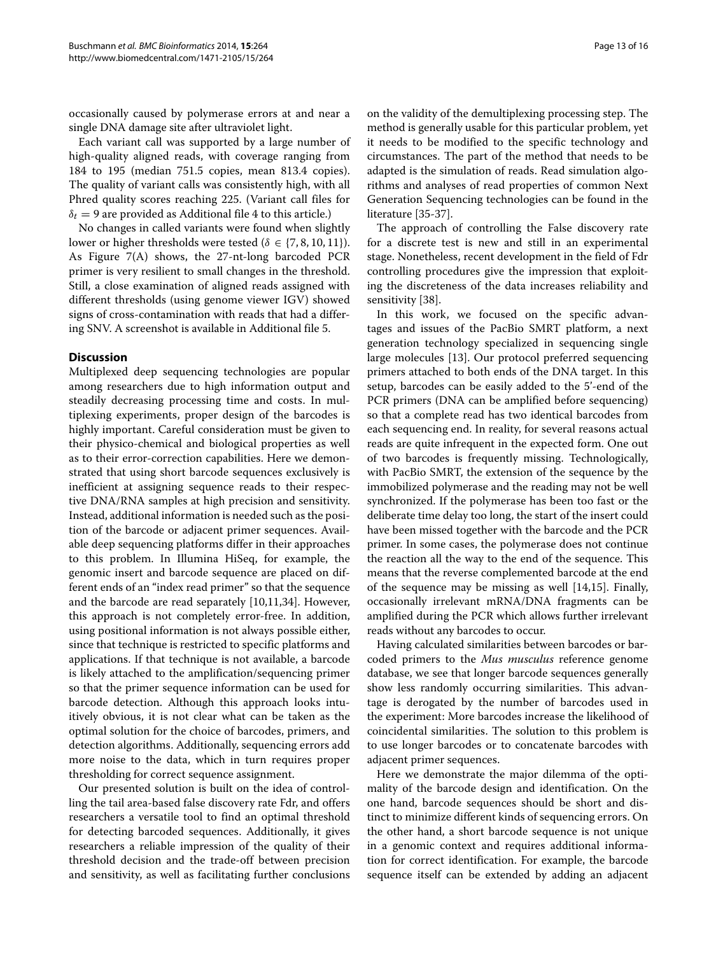occasionally caused by polymerase errors at and near a single DNA damage site after ultraviolet light.

Each variant call was supported by a large number of high-quality aligned reads, with coverage ranging from 184 to 195 (median 751.5 copies, mean 813.4 copies). The quality of variant calls was consistently high, with all Phred quality scores reaching 225. (Variant call files for  $\delta_t$  = 9 are provided as Additional file [4](#page-13-3) to this article.)

No changes in called variants were found when slightly lower or higher thresholds were tested ( $\delta \in \{7, 8, 10, 11\}$ ). As Figure [7\(](#page-11-0)A) shows, the 27-nt-long barcoded PCR primer is very resilient to small changes in the threshold. Still, a close examination of aligned reads assigned with different thresholds (using genome viewer IGV) showed signs of cross-contamination with reads that had a differing SNV. A screenshot is available in Additional file [5.](#page-13-4)

## **Discussion**

Multiplexed deep sequencing technologies are popular among researchers due to high information output and steadily decreasing processing time and costs. In multiplexing experiments, proper design of the barcodes is highly important. Careful consideration must be given to their physico-chemical and biological properties as well as to their error-correction capabilities. Here we demonstrated that using short barcode sequences exclusively is inefficient at assigning sequence reads to their respective DNA/RNA samples at high precision and sensitivity. Instead, additional information is needed such as the position of the barcode or adjacent primer sequences. Available deep sequencing platforms differ in their approaches to this problem. In Illumina HiSeq, for example, the genomic insert and barcode sequence are placed on different ends of an "index read primer" so that the sequence and the barcode are read separately [\[10,](#page-14-7)[11,](#page-14-8)[34\]](#page-14-30). However, this approach is not completely error-free. In addition, using positional information is not always possible either, since that technique is restricted to specific platforms and applications. If that technique is not available, a barcode is likely attached to the amplification/sequencing primer so that the primer sequence information can be used for barcode detection. Although this approach looks intuitively obvious, it is not clear what can be taken as the optimal solution for the choice of barcodes, primers, and detection algorithms. Additionally, sequencing errors add more noise to the data, which in turn requires proper thresholding for correct sequence assignment.

Our presented solution is built on the idea of controlling the tail area-based false discovery rate Fdr, and offers researchers a versatile tool to find an optimal threshold for detecting barcoded sequences. Additionally, it gives researchers a reliable impression of the quality of their threshold decision and the trade-off between precision and sensitivity, as well as facilitating further conclusions on the validity of the demultiplexing processing step. The method is generally usable for this particular problem, yet it needs to be modified to the specific technology and circumstances. The part of the method that needs to be adapted is the simulation of reads. Read simulation algorithms and analyses of read properties of common Next Generation Sequencing technologies can be found in the literature [\[35-](#page-15-0)[37\]](#page-15-1).

The approach of controlling the False discovery rate for a discrete test is new and still in an experimental stage. Nonetheless, recent development in the field of Fdr controlling procedures give the impression that exploiting the discreteness of the data increases reliability and sensitivity [\[38\]](#page-15-2).

In this work, we focused on the specific advantages and issues of the PacBio SMRT platform, a next generation technology specialized in sequencing single large molecules [\[13\]](#page-14-10). Our protocol preferred sequencing primers attached to both ends of the DNA target. In this setup, barcodes can be easily added to the 5'-end of the PCR primers (DNA can be amplified before sequencing) so that a complete read has two identical barcodes from each sequencing end. In reality, for several reasons actual reads are quite infrequent in the expected form. One out of two barcodes is frequently missing. Technologically, with PacBio SMRT, the extension of the sequence by the immobilized polymerase and the reading may not be well synchronized. If the polymerase has been too fast or the deliberate time delay too long, the start of the insert could have been missed together with the barcode and the PCR primer. In some cases, the polymerase does not continue the reaction all the way to the end of the sequence. This means that the reverse complemented barcode at the end of the sequence may be missing as well [\[14](#page-14-11)[,15\]](#page-14-12). Finally, occasionally irrelevant mRNA/DNA fragments can be amplified during the PCR which allows further irrelevant reads without any barcodes to occur.

Having calculated similarities between barcodes or barcoded primers to the *Mus musculus* reference genome database, we see that longer barcode sequences generally show less randomly occurring similarities. This advantage is derogated by the number of barcodes used in the experiment: More barcodes increase the likelihood of coincidental similarities. The solution to this problem is to use longer barcodes or to concatenate barcodes with adjacent primer sequences.

Here we demonstrate the major dilemma of the optimality of the barcode design and identification. On the one hand, barcode sequences should be short and distinct to minimize different kinds of sequencing errors. On the other hand, a short barcode sequence is not unique in a genomic context and requires additional information for correct identification. For example, the barcode sequence itself can be extended by adding an adjacent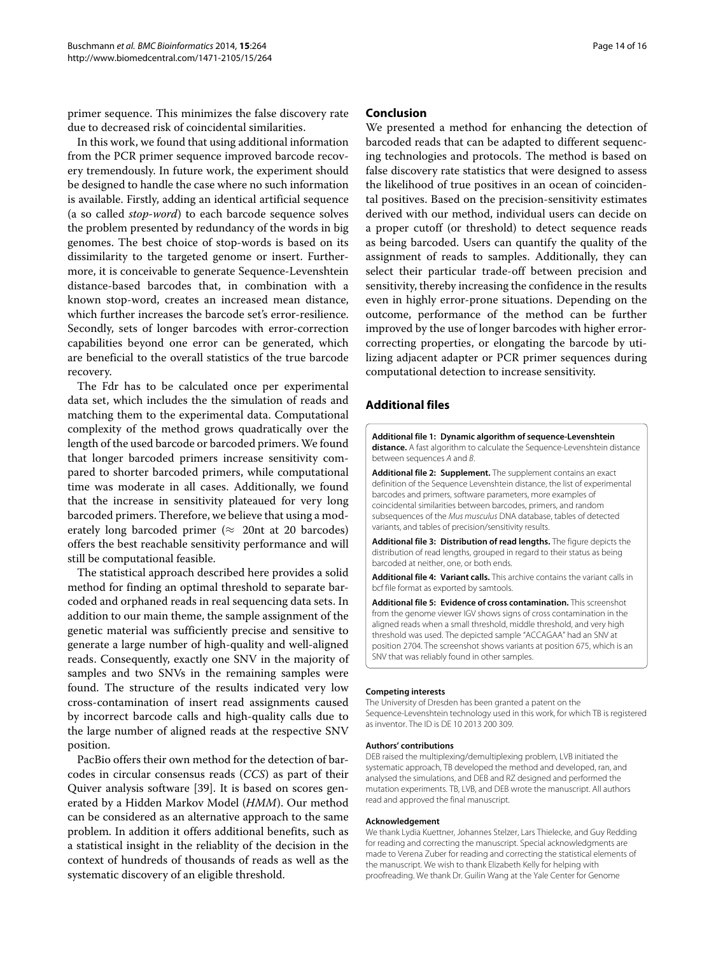primer sequence. This minimizes the false discovery rate due to decreased risk of coincidental similarities.

In this work, we found that using additional information from the PCR primer sequence improved barcode recovery tremendously. In future work, the experiment should be designed to handle the case where no such information is available. Firstly, adding an identical artificial sequence (a so called *stop-word*) to each barcode sequence solves the problem presented by redundancy of the words in big genomes. The best choice of stop-words is based on its dissimilarity to the targeted genome or insert. Furthermore, it is conceivable to generate Sequence-Levenshtein distance-based barcodes that, in combination with a known stop-word, creates an increased mean distance, which further increases the barcode set's error-resilience. Secondly, sets of longer barcodes with error-correction capabilities beyond one error can be generated, which are beneficial to the overall statistics of the true barcode recovery.

The Fdr has to be calculated once per experimental data set, which includes the the simulation of reads and matching them to the experimental data. Computational complexity of the method grows quadratically over the length of the used barcode or barcoded primers. We found that longer barcoded primers increase sensitivity compared to shorter barcoded primers, while computational time was moderate in all cases. Additionally, we found that the increase in sensitivity plateaued for very long barcoded primers. Therefore, we believe that using a moderately long barcoded primer ( $\approx$  20nt at 20 barcodes) offers the best reachable sensitivity performance and will still be computational feasible.

The statistical approach described here provides a solid method for finding an optimal threshold to separate barcoded and orphaned reads in real sequencing data sets. In addition to our main theme, the sample assignment of the genetic material was sufficiently precise and sensitive to generate a large number of high-quality and well-aligned reads. Consequently, exactly one SNV in the majority of samples and two SNVs in the remaining samples were found. The structure of the results indicated very low cross-contamination of insert read assignments caused by incorrect barcode calls and high-quality calls due to the large number of aligned reads at the respective SNV position.

PacBio offers their own method for the detection of barcodes in circular consensus reads (*CCS*) as part of their Quiver analysis software [\[39\]](#page-15-3). It is based on scores generated by a Hidden Markov Model (*HMM*). Our method can be considered as an alternative approach to the same problem. In addition it offers additional benefits, such as a statistical insight in the reliablity of the decision in the context of hundreds of thousands of reads as well as the systematic discovery of an eligible threshold.

#### **Conclusion**

We presented a method for enhancing the detection of barcoded reads that can be adapted to different sequencing technologies and protocols. The method is based on false discovery rate statistics that were designed to assess the likelihood of true positives in an ocean of coincidental positives. Based on the precision-sensitivity estimates derived with our method, individual users can decide on a proper cutoff (or threshold) to detect sequence reads as being barcoded. Users can quantify the quality of the assignment of reads to samples. Additionally, they can select their particular trade-off between precision and sensitivity, thereby increasing the confidence in the results even in highly error-prone situations. Depending on the outcome, performance of the method can be further improved by the use of longer barcodes with higher errorcorrecting properties, or elongating the barcode by utilizing adjacent adapter or PCR primer sequences during computational detection to increase sensitivity.

## **Additional files**

<span id="page-13-0"></span>**[Additional file 1:](http://www.biomedcentral.com/content/supplementary/1471-2105-15-264-S1.pdf) Dynamic algorithm of sequence-Levenshtein distance.** A fast algorithm to calculate the Sequence-Levenshtein distance between sequences A and B.

<span id="page-13-1"></span>**[Additional file 2:](http://www.biomedcentral.com/content/supplementary/1471-2105-15-264-S2.pdf) Supplement.** The supplement contains an exact definition of the Sequence Levenshtein distance, the list of experimental barcodes and primers, software parameters, more examples of coincidental similarities between barcodes, primers, and random subsequences of the Mus musculus DNA database, tables of detected variants, and tables of precision/sensitivity results.

<span id="page-13-2"></span>**[Additional file 3:](http://www.biomedcentral.com/content/supplementary/1471-2105-15-264-S3.pdf) Distribution of read lengths.** The figure depicts the distribution of read lengths, grouped in regard to their status as being barcoded at neither, one, or both ends.

<span id="page-13-3"></span>**[Additional file 4:](http://www.biomedcentral.com/content/supplementary/1471-2105-15-264-S4.zip) Variant calls.** This archive contains the variant calls in bcf file format as exported by samtools.

<span id="page-13-4"></span>**[Additional file 5:](http://www.biomedcentral.com/content/supplementary/1471-2105-15-264-S5.pdf) Evidence of cross contamination.** This screenshot from the genome viewer IGV shows signs of cross contamination in the aligned reads when a small threshold, middle threshold, and very high threshold was used. The depicted sample "ACCAGAA" had an SNV at position 2704. The screenshot shows variants at position 675, which is an SNV that was reliably found in other samples.

#### **Competing interests**

The University of Dresden has been granted a patent on the Sequence-Levenshtein technology used in this work, for which TB is registered as inventor. The ID is DE 10 2013 200 309.

#### **Authors' contributions**

DEB raised the multiplexing/demultiplexing problem, LVB initiated the systematic approach, TB developed the method and developed, ran, and analysed the simulations, and DEB and RZ designed and performed the mutation experiments. TB, LVB, and DEB wrote the manuscript. All authors read and approved the final manuscript.

#### **Acknowledgement**

We thank Lydia Kuettner, Johannes Stelzer, Lars Thielecke, and Guy Redding for reading and correcting the manuscript. Special acknowledgments are made to Verena Zuber for reading and correcting the statistical elements of the manuscript. We wish to thank Elizabeth Kelly for helping with proofreading. We thank Dr. Guilin Wang at the Yale Center for Genome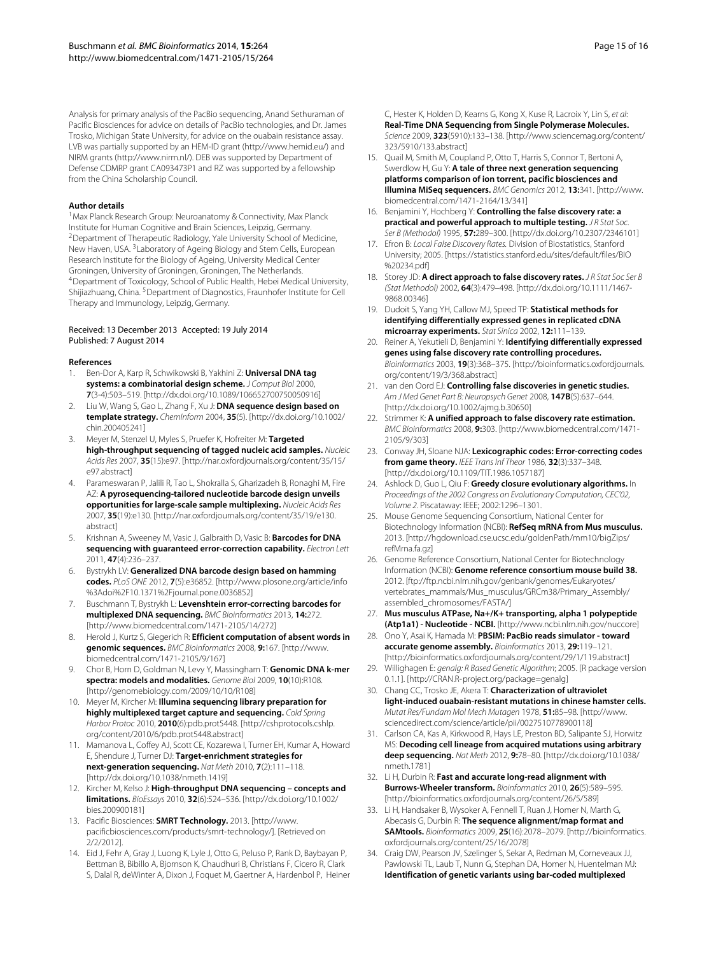Analysis for primary analysis of the PacBio sequencing, Anand Sethuraman of Pacific Biosciences for advice on details of PacBio technologies, and Dr. James Trosko, Michigan State University, for advice on the ouabain resistance assay. LVB was partially supported by an HEM-ID grant [\(http://www.hemid.eu/\)](http://www.hemid.eu/) and NIRM grants [\(http://www.nirm.nl/\)](http://www.nirm.nl/). DEB was supported by Department of Defense CDMRP grant CA093473P1 and RZ was supported by a fellowship from the China Scholarship Council.

#### **Author details**

<sup>1</sup> Max Planck Research Group: Neuroanatomy & Connectivity, Max Planck Institute for Human Cognitive and Brain Sciences, Leipzig, Germany. <sup>2</sup> Department of Therapeutic Radiology, Yale University School of Medicine, New Haven, USA. 3Laboratory of Ageing Biology and Stem Cells, European Research Institute for the Biology of Ageing, University Medical Center Groningen, University of Groningen, Groningen, The Netherlands. 4Department of Toxicology, School of Public Health, Hebei Medical University, Shijiazhuang, China. <sup>5</sup>Department of Diagnostics, Fraunhofer Institute for Cell Therapy and Immunology, Leipzig, Germany.

#### Received: 13 December 2013 Accepted: 19 July 2014 Published: 7 August 2014

#### **References**

- <span id="page-14-0"></span>1. Ben-Dor A, Karp R, Schwikowski B, Yakhini Z: **Universal DNA tag systems: a combinatorial design scheme.** J Comput Biol 2000, **7**(3-4):503–519. [\[http://dx.doi.org/10.1089/106652700750050916\]](http://dx.doi.org/10.1089/106652700750050916)
- 2. Liu W, Wang S, Gao L, Zhang F, Xu J: **DNA sequence design based on template strategy.** ChemInform 2004, **35**(5). [\[http://dx.doi.org/10.1002/](http://dx.doi.org/10.1002/chin.200405241) [chin.200405241\]](http://dx.doi.org/10.1002/chin.200405241)
- 3. Meyer M, Stenzel U, Myles S, Pruefer K, Hofreiter M: **Targeted high-throughput sequencing of tagged nucleic acid samples.** Nucleic Acids Res 2007, **35**(15):e97. [\[http://nar.oxfordjournals.org/content/35/15/](http://nar.oxfordjournals.org/content/35/15/e97.abstract) [e97.abstract\]](http://nar.oxfordjournals.org/content/35/15/e97.abstract)
- <span id="page-14-1"></span>4. Parameswaran P, Jalili R, Tao L, Shokralla S, Gharizadeh B, Ronaghi M, Fire AZ: **A pyrosequencing-tailored nucleotide barcode design unveils opportunities for large-scale sample multiplexing.** Nucleic Acids Res 2007, **35**(19):e130. [\[http://nar.oxfordjournals.org/content/35/19/e130.](http://nar.oxfordjournals.org/content/35/19/e130.abstract) [abstract\]](http://nar.oxfordjournals.org/content/35/19/e130.abstract)
- <span id="page-14-2"></span>5. Krishnan A, Sweeney M, Vasic J, Galbraith D, Vasic B: **Barcodes for DNA sequencing with guaranteed error-correction capability.** Electron Lett 2011, **47**(4):236–237.
- <span id="page-14-3"></span>6. Bystrykh LV: **Generalized DNA barcode design based on hamming codes.** PLoS ONE 2012, **7**(5):e36852. [\[http://www.plosone.org/article/info](http://www.plosone.org/article/info%3Adoi%2F10.1371%2Fjournal.pone.0036852) [%3Adoi%2F10.1371%2Fjournal.pone.0036852\]](http://www.plosone.org/article/info%3Adoi%2F10.1371%2Fjournal.pone.0036852)
- <span id="page-14-4"></span>7. Buschmann T, Bystrykh L: **Levenshtein error-correcting barcodes for multiplexed DNA sequencing.** BMC Bioinformatics 2013, **14:**272. [\[http://www.biomedcentral.com/1471-2105/14/272\]](http://www.biomedcentral.com/1471-2105/14/272)
- <span id="page-14-5"></span>8. Herold J, Kurtz S, Giegerich R: **Efficient computation of absent words in genomic sequences.** BMC Bioinformatics 2008, **9:**167. [\[http://www.](http://www.biomedcentral.com/1471-2105/9/167) [biomedcentral.com/1471-2105/9/167\]](http://www.biomedcentral.com/1471-2105/9/167)
- <span id="page-14-6"></span>9. Chor B, Horn D, Goldman N, Levy Y, Massingham T: **Genomic DNA k-mer spectra: models and modalities.** Genome Biol 2009, **10**(10):R108. [\[http://genomebiology.com/2009/10/10/R108\]](http://genomebiology.com/2009/10/10/R108)
- <span id="page-14-7"></span>10. Meyer M, Kircher M: **Illumina sequencing library preparation for highly multiplexed target capture and sequencing.** Cold Spring Harbor Protoc 2010, **2010**(6):pdb.prot5448. [\[http://cshprotocols.cshlp.](http://cshprotocols.cshlp.org/content/2010/6/pdb.prot5448.abstract) [org/content/2010/6/pdb.prot5448.abstract\]](http://cshprotocols.cshlp.org/content/2010/6/pdb.prot5448.abstract)
- <span id="page-14-8"></span>11. Mamanova L, Coffey AJ, Scott CE, Kozarewa I, Turner EH, Kumar A, Howard E, Shendure J, Turner DJ: **Target-enrichment strategies for next-generation sequencing.** Nat Meth 2010, **7**(2):111–118. [\[http://dx.doi.org/10.1038/nmeth.1419\]](http://dx.doi.org/10.1038/nmeth.1419)
- <span id="page-14-9"></span>12. Kircher M, Kelso J: **High-throughput DNA sequencing – concepts and limitations.** BioEssays 2010, **32**(6):524–536. [\[http://dx.doi.org/10.1002/](http://dx.doi.org/10.1002/bies.200900181) [bies.200900181\]](http://dx.doi.org/10.1002/bies.200900181)
- <span id="page-14-10"></span>13. Pacific Biosciences: **SMRT Technology.** 2013. [\[http://www.](http://www.pacificbiosciences.com/products/smrt-technology/) [pacificbiosciences.com/products/smrt-technology/\]](http://www.pacificbiosciences.com/products/smrt-technology/). [Retrieved on 2/2/2012].
- <span id="page-14-11"></span>14. Eid J, Fehr A, Gray J, Luong K, Lyle J, Otto G, Peluso P, Rank D, Baybayan P, Bettman B, Bibillo A, Bjornson K, Chaudhuri B, Christians F, Cicero R, Clark S, Dalal R, deWinter A, Dixon J, Foquet M, Gaertner A, Hardenbol P, Heiner

C, Hester K, Holden D, Kearns G, Kong X, Kuse R, Lacroix Y, Lin S, et al: **Real-Time DNA Sequencing from Single Polymerase Molecules.** Science 2009, **323**(5910):133–138. [\[http://www.sciencemag.org/content/](http://www.sciencemag.org/content/323/5910/133.abstract) [323/5910/133.abstract\]](http://www.sciencemag.org/content/323/5910/133.abstract)

- <span id="page-14-12"></span>15. Quail M, Smith M, Coupland P, Otto T, Harris S, Connor T, Bertoni A, Swerdlow H, Gu Y: **A tale of three next generation sequencing platforms comparison of ion torrent, pacific biosciences and Illumina MiSeq sequencers.** BMC Genomics 2012, **13:**341. [\[http://www.](http://www.biomedcentral.com/1471-2164/13/341) [biomedcentral.com/1471-2164/13/341\]](http://www.biomedcentral.com/1471-2164/13/341)
- <span id="page-14-13"></span>16. Benjamini Y, Hochberg Y: **Controlling the false discovery rate: a practical and powerful approach to multiple testing.** JR Stat Soc. Ser B (Methodol) 1995, **57:**289–300. [\[http://dx.doi.org/10.2307/2346101\]](http://dx.doi.org/10.2307/2346101)
- <span id="page-14-14"></span>17. Efron B: Local False Discovery Rates. Division of Biostatistics, Stanford University; 2005. [\[https://statistics.stanford.edu/sites/default/files/BIO](https://statistics.stanford.edu/sites/default/files/BIO%20234.pdf) [%20234.pdf\]](https://statistics.stanford.edu/sites/default/files/BIO%20234.pdf)
- <span id="page-14-15"></span>18. Storey JD: A direct approach to false discovery rates. J R Stat Soc Ser B (Stat Methodol) 2002, **64**(3):479–498. [\[http://dx.doi.org/10.1111/1467-](http://dx.doi.org/10.1111/1467-9868.00346) [9868.00346\]](http://dx.doi.org/10.1111/1467-9868.00346)
- <span id="page-14-16"></span>19. Dudoit S, Yang YH, Callow MJ, Speed TP: **Statistical methods for identifying differentially expressed genes in replicated cDNA microarray experiments.** Stat Sinica 2002, **12:**111–139.
- <span id="page-14-18"></span>20. Reiner A, Yekutieli D, Benjamini Y: **Identifying differentially expressed genes using false discovery rate controlling procedures.** Bioinformatics 2003, **19**(3):368–375. [\[http://bioinformatics.oxfordjournals.](http://bioinformatics.oxfordjournals.org/content/19/3/368.abstract) [org/content/19/3/368.abstract\]](http://bioinformatics.oxfordjournals.org/content/19/3/368.abstract)
- <span id="page-14-17"></span>21. van den Oord EJ: **Controlling false discoveries in genetic studies.** Am J Med Genet Part B: Neuropsych Genet 2008, **147B**(5):637–644. [\[http://dx.doi.org/10.1002/ajmg.b.30650\]](http://dx.doi.org/10.1002/ajmg.b.30650)
- <span id="page-14-19"></span>22. Strimmer K: **A unified approach to false discovery rate estimation.** BMC Bioinformatics 2008, **9:**303. [\[http://www.biomedcentral.com/1471-](http://www.biomedcentral.com/1471-2105/9/303) [2105/9/303\]](http://www.biomedcentral.com/1471-2105/9/303)
- <span id="page-14-20"></span>23. Conway JH, Sloane NJA: **Lexicographic codes: Error-correcting codes from game theory.** IEEE Trans Inf Theor 1986, **32**(3):337–348. [\[http://dx.doi.org/10.1109/TIT.1986.1057187\]](http://dx.doi.org/10.1109/TIT.1986.1057187)
- <span id="page-14-21"></span>24. Ashlock D, Guo L, Qiu F: **Greedy closure evolutionary algorithms.** In Proceedings of the 2002 Congress on Evolutionary Computation, CEC'02, Volume 2. Piscataway: IEEE; 2002:1296–1301.
- <span id="page-14-22"></span>25. Mouse Genome Sequencing Consortium, National Center for Biotechnology Information (NCBI): **RefSeq mRNA from Mus musculus.** 2013. [\[http://hgdownload.cse.ucsc.edu/goldenPath/mm10/bigZips/](http://hgdownload.cse.ucsc.edu/goldenPath/mm10/bigZips/refMrna.fa.gz) [refMrna.fa.gz\]](http://hgdownload.cse.ucsc.edu/goldenPath/mm10/bigZips/refMrna.fa.gz)
- 26. Genome Reference Consortium, National Center for Biotechnology Information (NCBI): **Genome reference consortium mouse build 38.** 2012. [\[ftp://ftp.ncbi.nlm.nih.gov/genbank/genomes/Eukaryotes/](ftp://ftp.ncbi.nlm.nih.gov/genbank/genomes/Eukaryotes/vertebrates_mammals/Mus_musculus/GRCm38/Primary_Assembly/assembled_chromosomes/FASTA/) [vertebrates\\_mammals/Mus\\_musculus/GRCm38/Primary\\_Assembly/](ftp://ftp.ncbi.nlm.nih.gov/genbank/genomes/Eukaryotes/vertebrates_mammals/Mus_musculus/GRCm38/Primary_Assembly/assembled_chromosomes/FASTA/) [assembled\\_chromosomes/FASTA/\]](ftp://ftp.ncbi.nlm.nih.gov/genbank/genomes/Eukaryotes/vertebrates_mammals/Mus_musculus/GRCm38/Primary_Assembly/assembled_chromosomes/FASTA/)
- <span id="page-14-23"></span>27. **Mus musculus ATPase, Na+/K+ transporting, alpha 1 polypeptide (Atp1a1) - Nucleotide - NCBI.** [\[http://www.ncbi.nlm.nih.gov/nuccore\]](http://www.ncbi.nlm.nih.gov/nuccore)
- <span id="page-14-24"></span>28. Ono Y, Asai K, Hamada M: **PBSIM: PacBio reads simulator - toward accurate genome assembly.** Bioinformatics 2013, **29:**119–121. [\[http://bioinformatics.oxfordjournals.org/content/29/1/119.abstract\]](http://bioinformatics.oxfordjournals.org/content/29/1/119.abstract)
- <span id="page-14-25"></span>29. Willighagen E: genalg: R Based Genetic Algorithm; 2005. [R package version 0.1.1]. [\[http://CRAN.R-project.org/package=genalg\]](http://CRAN.R-project.org/package=genalg)
- <span id="page-14-26"></span>30. Chang CC, Trosko JE, Akera T: **Characterization of ultraviolet light-induced ouabain-resistant mutations in chinese hamster cells.** Mutat Res/Fundam Mol Mech Mutagen 1978, **51:**85–98. [\[http://www.](http://www.sciencedirect.com/science/article/pii/0027510778900118) [sciencedirect.com/science/article/pii/0027510778900118\]](http://www.sciencedirect.com/science/article/pii/0027510778900118)
- <span id="page-14-27"></span>31. Carlson CA, Kas A, Kirkwood R, Hays LE, Preston BD, Salipante SJ, Horwitz MS: **Decoding cell lineage from acquired mutations using arbitrary deep sequencing.** Nat Meth 2012, **9:**78–80. [\[http://dx.doi.org/10.1038/](http://dx.doi.org/10.1038/nmeth.1781) [nmeth.1781\]](http://dx.doi.org/10.1038/nmeth.1781)
- <span id="page-14-28"></span>32. Li H, Durbin R: **Fast and accurate long-read alignment with Burrows-Wheeler transform.** Bioinformatics 2010, **26**(5):589–595. [\[http://bioinformatics.oxfordjournals.org/content/26/5/589\]](http://bioinformatics.oxfordjournals.org/content/26/5/589)
- <span id="page-14-29"></span>33. Li H, Handsaker B, Wysoker A, Fennell T, Ruan J, Homer N, Marth G, Abecasis G, Durbin R: **The sequence alignment/map format and SAMtools.** Bioinformatics 2009, **25**(16):2078–2079. [\[http://bioinformatics.](http://bioinformatics.oxfordjournals.org/content/25/16/2078) [oxfordjournals.org/content/25/16/2078\]](http://bioinformatics.oxfordjournals.org/content/25/16/2078)
- <span id="page-14-30"></span>34. Craig DW, Pearson JV, Szelinger S, Sekar A, Redman M, Corneveaux JJ, Pawlowski TL, Laub T, Nunn G, Stephan DA, Homer N, Huentelman MJ: **Identification of genetic variants using bar-coded multiplexed**